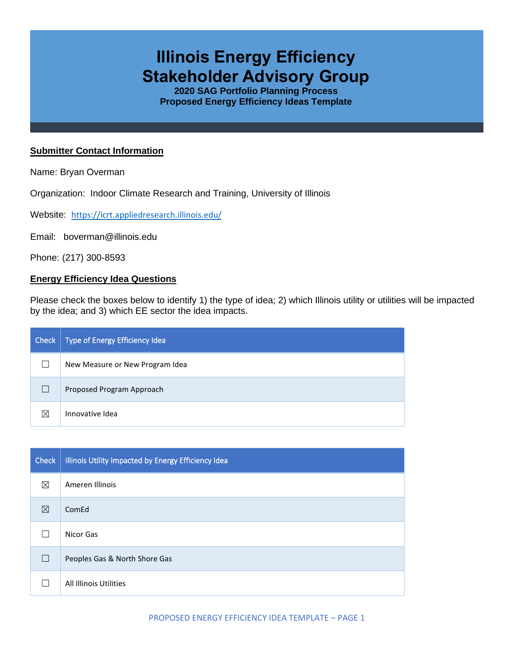# **Illinois Energy Efficiency Stakeholder Advisory Group**

**2020 SAG Portfolio Planning Process Proposed Energy Efficiency Ideas Template**

#### **Submitter Contact Information**

Name: Bryan Overman

Organization: Indoor Climate Research and Training, University of Illinois

Website: <https://icrt.appliedresearch.illinois.edu/>

Email: boverman@illinois.edu

Phone: (217) 300-8593

### **Energy Efficiency Idea Questions**

Please check the boxes below to identify 1) the type of idea; 2) which Illinois utility or utilities will be impacted by the idea; and 3) which EE sector the idea impacts.

| Check | Type of Energy Efficiency Idea  |
|-------|---------------------------------|
|       | New Measure or New Program Idea |
|       | Proposed Program Approach       |
| ⋉     | Innovative Idea                 |

| <b>Check</b> | Illinois Utility Impacted by Energy Efficiency Idea |
|--------------|-----------------------------------------------------|
| ⊠            | Ameren Illinois                                     |
| ⊠            | ComEd                                               |
|              | Nicor Gas                                           |
| $\Box$       | Peoples Gas & North Shore Gas                       |
|              | All Illinois Utilities                              |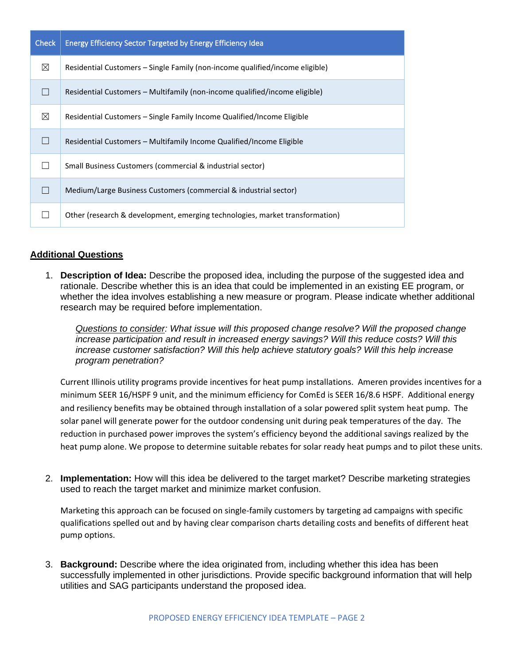| <b>Check</b> | <b>Energy Efficiency Sector Targeted by Energy Efficiency Idea</b>           |
|--------------|------------------------------------------------------------------------------|
| ⊠            | Residential Customers – Single Family (non-income qualified/income eligible) |
| $\Box$       | Residential Customers – Multifamily (non-income qualified/income eligible)   |
| ⊠            | Residential Customers – Single Family Income Qualified/Income Eligible       |
|              | Residential Customers - Multifamily Income Qualified/Income Eligible         |
|              | Small Business Customers (commercial & industrial sector)                    |
|              | Medium/Large Business Customers (commercial & industrial sector)             |
|              | Other (research & development, emerging technologies, market transformation) |

## **Additional Questions**

1. **Description of Idea:** Describe the proposed idea, including the purpose of the suggested idea and rationale. Describe whether this is an idea that could be implemented in an existing EE program, or whether the idea involves establishing a new measure or program. Please indicate whether additional research may be required before implementation.

*Questions to consider: What issue will this proposed change resolve? Will the proposed change increase participation and result in increased energy savings? Will this reduce costs? Will this increase customer satisfaction? Will this help achieve statutory goals? Will this help increase program penetration?* 

Current Illinois utility programs provide incentives for heat pump installations. Ameren provides incentives for a minimum SEER 16/HSPF 9 unit, and the minimum efficiency for ComEd is SEER 16/8.6 HSPF. Additional energy and resiliency benefits may be obtained through installation of a solar powered split system heat pump. The solar panel will generate power for the outdoor condensing unit during peak temperatures of the day. The reduction in purchased power improves the system's efficiency beyond the additional savings realized by the heat pump alone. We propose to determine suitable rebates for solar ready heat pumps and to pilot these units.

2. **Implementation:** How will this idea be delivered to the target market? Describe marketing strategies used to reach the target market and minimize market confusion.

Marketing this approach can be focused on single-family customers by targeting ad campaigns with specific qualifications spelled out and by having clear comparison charts detailing costs and benefits of different heat pump options.

3. **Background:** Describe where the idea originated from, including whether this idea has been successfully implemented in other jurisdictions. Provide specific background information that will help utilities and SAG participants understand the proposed idea.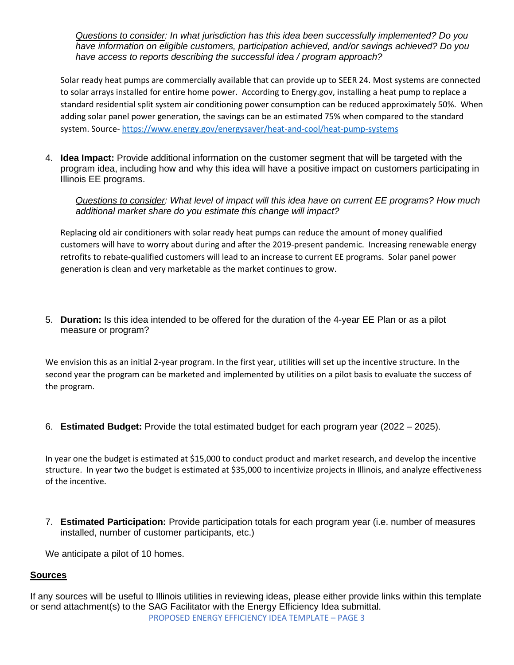*Questions to consider: In what jurisdiction has this idea been successfully implemented? Do you have information on eligible customers, participation achieved, and/or savings achieved? Do you have access to reports describing the successful idea / program approach?* 

Solar ready heat pumps are commercially available that can provide up to SEER 24. Most systems are connected to solar arrays installed for entire home power. According to Energy.gov, installing a heat pump to replace a standard residential split system air conditioning power consumption can be reduced approximately 50%. When adding solar panel power generation, the savings can be an estimated 75% when compared to the standard system. Source- <https://www.energy.gov/energysaver/heat-and-cool/heat-pump-systems>

4. **Idea Impact:** Provide additional information on the customer segment that will be targeted with the program idea, including how and why this idea will have a positive impact on customers participating in Illinois EE programs.

*Questions to consider: What level of impact will this idea have on current EE programs? How much additional market share do you estimate this change will impact?*

Replacing old air conditioners with solar ready heat pumps can reduce the amount of money qualified customers will have to worry about during and after the 2019-present pandemic. Increasing renewable energy retrofits to rebate-qualified customers will lead to an increase to current EE programs. Solar panel power generation is clean and very marketable as the market continues to grow.

5. **Duration:** Is this idea intended to be offered for the duration of the 4-year EE Plan or as a pilot measure or program?

We envision this as an initial 2-year program. In the first year, utilities will set up the incentive structure. In the second year the program can be marketed and implemented by utilities on a pilot basis to evaluate the success of the program.

6. **Estimated Budget:** Provide the total estimated budget for each program year (2022 – 2025).

In year one the budget is estimated at \$15,000 to conduct product and market research, and develop the incentive structure. In year two the budget is estimated at \$35,000 to incentivize projects in Illinois, and analyze effectiveness of the incentive.

7. **Estimated Participation:** Provide participation totals for each program year (i.e. number of measures installed, number of customer participants, etc.)

We anticipate a pilot of 10 homes.

### **Sources**

PROPOSED ENERGY EFFICIENCY IDEA TEMPLATE – PAGE 3 If any sources will be useful to Illinois utilities in reviewing ideas, please either provide links within this template or send attachment(s) to the SAG Facilitator with the Energy Efficiency Idea submittal.